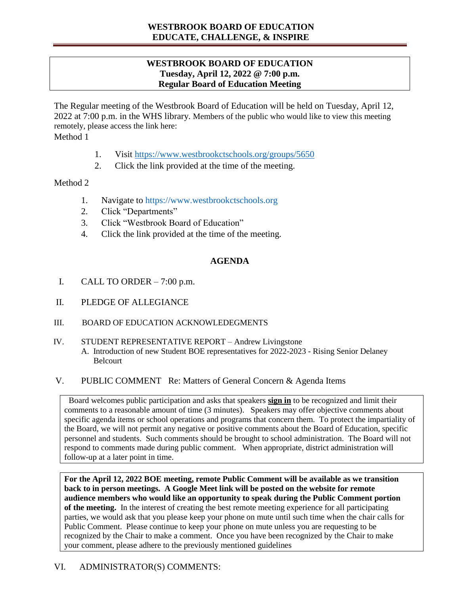# **WESTBROOK BOARD OF EDUCATION EDUCATE, CHALLENGE, & INSPIRE**

## **WESTBROOK BOARD OF EDUCATION Tuesday, April 12, 2022 @ 7:00 p.m. Regular Board of Education Meeting**

The Regular meeting of the Westbrook Board of Education will be held on Tuesday, April 12, 2022 at 7:00 p.m. in the WHS library. Members of the public who would like to view this meeting remotely, please access the link here:

Method 1

- 1. Visit <https://www.westbrookctschools.org/groups/5650>
- 2. Click the link provided at the time of the meeting.

### Method 2

- 1. Navigate to [https://www.westbrookctschools.org](https://www.westbrookctschools.org/)
- 2. Click "Departments"
- 3. Click "Westbrook Board of Education"
- 4. Click the link provided at the time of the meeting.

## **AGENDA**

- I. CALL TO ORDER  $-7:00$  p.m.
- II. PLEDGE OF ALLEGIANCE
- III. BOARD OF EDUCATION ACKNOWLEDEGMENTS
- IV. STUDENT REPRESENTATIVE REPORT Andrew Livingstone A. Introduction of new Student BOE representatives for 2022-2023 - Rising Senior Delaney Belcourt
- V. PUBLIC COMMENT Re: Matters of General Concern & Agenda Items

 Board welcomes public participation and asks that speakers **sign in** to be recognized and limit their comments to a reasonable amount of time (3 minutes). Speakers may offer objective comments about specific agenda items or school operations and programs that concern them. To protect the impartiality of the Board, we will not permit any negative or positive comments about the Board of Education, specific personnel and students. Such comments should be brought to school administration. The Board will not respond to comments made during public comment. When appropriate, district administration will follow-up at a later point in time.

**For the April 12, 2022 BOE meeting, remote Public Comment will be available as we transition back to in person meetings. A Google Meet link will be posted on the website for remote audience members who would like an opportunity to speak during the Public Comment portion of the meeting.** In the interest of creating the best remote meeting experience for all participating parties, we would ask that you please keep your phone on mute until such time when the chair calls for Public Comment. Please continue to keep your phone on mute unless you are requesting to be recognized by the Chair to make a comment. Once you have been recognized by the Chair to make your comment, please adhere to the previously mentioned guidelines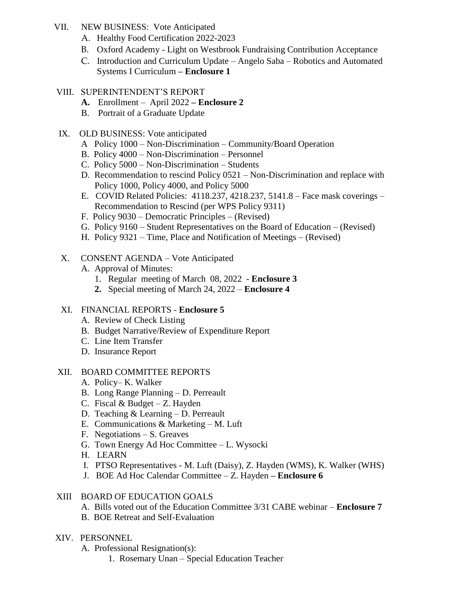- VII. NEW BUSINESS: Vote Anticipated
	- A. Healthy Food Certification 2022-2023
	- B. Oxford Academy Light on Westbrook Fundraising Contribution Acceptance
	- C. Introduction and Curriculum Update Angelo Saba Robotics and Automated Systems I Curriculum **– Enclosure 1**

### VIII. SUPERINTENDENT'S REPORT

- **A.** Enrollment April 2022 **– Enclosure 2**
- B. Portrait of a Graduate Update

## IX. OLD BUSINESS: Vote anticipated

- A Policy 1000 Non-Discrimination Community/Board Operation
- B. Policy 4000 Non-Discrimination Personnel
- C. Policy 5000 Non-Discrimination Students
- D. Recommendation to rescind Policy 0521 Non-Discrimination and replace with Policy 1000, Policy 4000, and Policy 5000
- E. COVID Related Policies: 4118.237, 4218.237, 5141.8 Face mask coverings Recommendation to Rescind (per WPS Policy 9311)
- F. Policy 9030 Democratic Principles (Revised)
- G. Policy 9160 Student Representatives on the Board of Education (Revised)
- H. Policy 9321 Time, Place and Notification of Meetings (Revised)

## X. CONSENT AGENDA – Vote Anticipated

- A. Approval of Minutes:
	- 1. Regular meeting of March 08, 2022 **Enclosure 3**
	- **2.** Special meeting of March 24, 2022 **Enclosure 4**

## XI. FINANCIAL REPORTS - **Enclosure 5**

- A. Review of Check Listing
- B. Budget Narrative/Review of Expenditure Report
- C. Line Item Transfer
- D. Insurance Report

### XII. BOARD COMMITTEE REPORTS

- A. Policy– K. Walker
- B. Long Range Planning D. Perreault
- C. Fiscal & Budget Z. Hayden
- D. Teaching & Learning D. Perreault
- E. Communications & Marketing M. Luft
- F. Negotiations S. Greaves
- G. Town Energy Ad Hoc Committee L. Wysocki
- H. LEARN
- I. PTSO Representatives M. Luft (Daisy), Z. Hayden (WMS), K. Walker (WHS)
- J. BOE Ad Hoc Calendar Committee Z. Hayden **– Enclosure 6**

### XIII BOARD OF EDUCATION GOALS

- A. Bills voted out of the Education Committee 3/31 CABE webinar **Enclosure 7**
- B. BOE Retreat and Self-Evaluation

### XIV. PERSONNEL

- A. Professional Resignation(s):
	- 1. Rosemary Unan Special Education Teacher